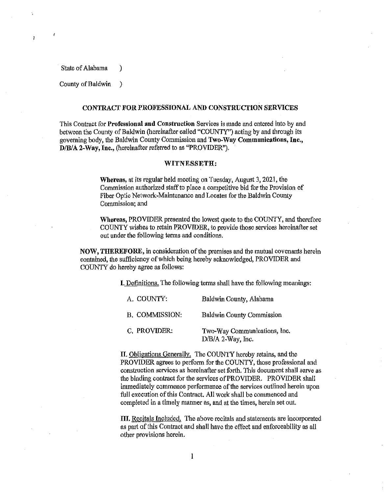State of Alabama )

Þ

County of Baldwin )

## CONTRACT FOR PROFESSIONAL AND CONSTRUCTION SERVICES

This Contract for Professional and Construction Services is made and entered into by and between the County of Baldwin (hereinafter called "COUNTY") acting by and through its governing body, the Baldwin County Commission and Two-Way Communications, Inc., D/B/A 2-Way, Inc., (hereinafter referred to as "PROVIDER").

## WITNESSETH:

Whereas, at its regular held meeting on Tuesday, August 3, 2021, the Commission authorized staff to place a competitive bid for the Provision of Fiber Optic Network-Maintenance and Locates for the Baldwin County Commission; and

Whereas, PROVIDER presented the lowest quote to the COUNTY, and therefore COUNTY wishes to retain PROVIDER, to provide those services hereinafter set out under the following terms and conditions.

NOW, THEREFORE, in consideration of the premises and the mutual covenants herein contained, the sufficiency of which being hereby acknowledged, PROVIDER and COUNTY do hereby agree as follows:

I. Definitions. The following terms shall have the following meanings:

| A. COUNTY:            | Baldwin County, Alabama                           |
|-----------------------|---------------------------------------------------|
| <b>B. COMMISSION:</b> | <b>Baldwin County Commission</b>                  |
| C. PROVIDER:          | Two-Way Communications, Inc.<br>D/B/A 2-Way, Inc. |

II. Obligations Generally. The COUNTY hereby retains, and the PROVIDER agrees to perform for the COUNTY, those professional and construction services as hereinafter set forth. This document shall serve as the binding contract for the services of PROVIDER. PROVIDER shall immediately commence performance of the services outlined herein upon full execution of this Contract. All work shall be commenced and completed in a timely manner as, and at the times, herein set out.

III. Recitals Included. The above recitals and statements are incorporated as part of this Contract and shall have the effect and enforceability as all other provisions herein.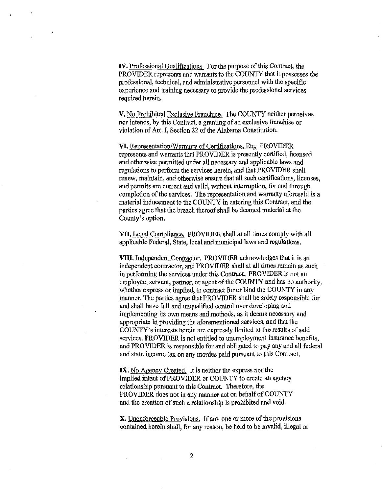IV. Professional Qualifications. For the purpose of this Contract, the PROVIDER represents and warrants to the COUNTY that it possesses the professional, technical, and administrative personnel with the specific experience and training necessary to provide the professional services required herein.

V. No Prohibited Exclusiye Franchise. The COUNTY neither perceives nor intends, by this Contract, a granting of an exclusive franchise or violation of Art. I, Section 22 of the Alabama Constitution.

VI. Representation/Warrantv of Certifications. Etc. PROVIDER represents and warrants that PROVIDER is presently certified, licensed and otherwise permitted under all necessary and applicable laws and regulations to perfonn the services herein, and that PROVIDER shall renew, maintain, and otherwise ensure that all such certifications, licenses, and pennits are current and valid, without interruption, for and through completion of the services. The representation and warranty aforesaid is a material inducement to the COUNTY in entering this Contract, and the parties agree that the breach thereof shall be deemed material at the County's option.

Vil, Legal Compliance. PROVIDER shall at all times comply with all applicable Federal, State, local and municipal laws and regulations.

Vlll. Independent Contractor. PROVIDER acknowledges that it ls an independent contractor, and PROVIDER shall at all times remain as such in performing the services under this Contract. PROVIDER is not an employee, servant, partner, or agent of the COUNTY and has no authority, whether express or implied, to contract for or bind the COUNTY in any manner. The parties agree that PROVIDER shall be solely responsible for and shall have full and unqualified control over developing and implementing its own means and methods, as it deems necessary and appropriate in providing the aforementioned services, and that the COUNTY's interests herein are expressly limited to the results of said services. PROVIDER is not entitled to unemployment insurance benefits, and PROVIDER is responsible for and obligated to pay any and all federal and state income tax on any monies paid pursuant to this Contract.

IX. No Agency Created. It is neither the express nor the implied intent of PROVIDER or COUNTY to create an agency relationship pursuant to this Contract. Therefore, the PROVIDER does not in any manner act on behalf of COUNTY and the creation of such a relationship is prohibited and void.

X. Unenforceable Provisions. If any one or more of the provisions contained herein shall, for any reason, be held to be invalid, illegal or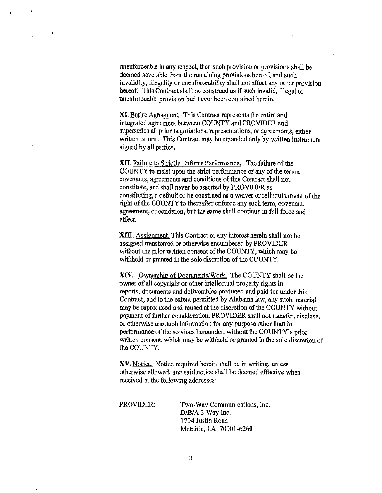unenforceable in any respect, then such provision or provisions shall be deemed severable from the remaining provisions hereof, and such invalidity, illegality or unenforceability shall not affect any other provision hereof. This Contract shall be construed as if such invalid, illegal or unenforceable provision had never been contained herein.

"

Ă

**XI.** Entire Agreement. This Contract represents the entire and integrated agreement between COUNTY and PROVIDER and supersedes all prior negotiations, representations, or agreements, either written or oral. This Contract may be amended only by written instrument signed by all parties.

XII. Failure to Strictly Enforce Performance. The failure of the COUNTY to insist upon the strict performance of any of the terms, covenants, agreements and conditions of this Contract sha11 not constitute, and shall never be asserted by PROVIDER as constituting, a default or be construed as a waiver or relinquishment of the right of the COUNTY to thereafter enforce any such term, covenant, agreement, or condition, but the same shall continue in full force and effect.

**XIII.** Assignment. This Contract or any interest herein shall not be assigned transferred or otherwise encumbered by PROVIDER without the prior written consent of the COUNTY, which may be withheld or granted in the sole discretion of the COUNTY.

XIV. Ownership of Documents/Work. The COUNTY shall be the owner of all copyright or other intellectual property rights in reports, documents and deliverables produced and paid for under this Contract, and to the extent permitted by Alabama law, any such material may be reproduced and reused at the discretion of the COUNTY without payment of further consideration. PROVIDER shall not transfer, disclose, or otherwise use such information for any purpose other than in performance of the services hereunder, without the COUNTY's prior written consent, which may be withheld or granted in the sole discretion of the COUNTY.

XV. Notice. Notice required herein shall be in writing, unless otherwise allowed, and said notice shall be deemed effective when received at the following addresses;

PROVIDER: Two-Way Communications, Inc. D/B/A 2-Way Inc. I 704 Justin Road Metairie, LA 70001-6260

3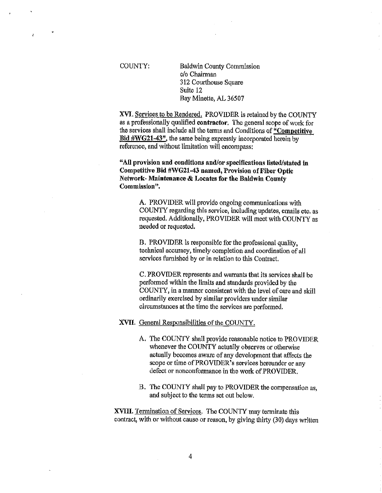COUNTY: Baldwin County Commission c/o Chairman 312 Courthouse Square Suite 12 Bay Minette, AL 36507

XVI. Services to be Rendered. PROVIDER is retained by the COUNTY as a professionally qualified contractor. The general scope of work for the services shall include all the terms and Conditions of "Competitive Bid #WG21-43", the same being expressly incorporated herein by reference, and without limitation will encompass:

"All provision and conditions and/or specifications listed/stated in Competitive Bid #WG21-43 named, Provision of Fiber Optic Network- Maintenance & Locates for the Baldwin County Commission".

> A. PROVIDER will provide ongoing communications with COUNTY regarding this service, including updates, emails etc. as requested, Additionally, PROVIDER will meet with COUNTY as needed or requested.

B. PROVIDER is responsible for the professional quality, technical accuracy, timely completion and coordination of all services furnished by or in relation to this Contract.

C. PROVIDER represents and warrants that its services shall be performed within the limits and standards provided by the COUNTY, in a manner consistent with the level of care and skill ordinarily exercised by similar providers under similar circumstances at the time the services are performed.

## XVII. General Responsibilities of the COUNTY.

- A. The COUNTY shall provide reasonable notice to PROVIDER whenever the COUNTY actually observes or otherwise actually becomes aware of any development that affects the scope or time of PROVIDER's services hereunder or any defect or nonconformance in the work of PROVIDER.
- B. The COUNTY shall pay to PROVIDER the compensation as, and subject to the terms set out below.

XVIII. Termination of Services, The COUNTY may terminate this contract, with or without cause or reason, by giving thirty (30) days written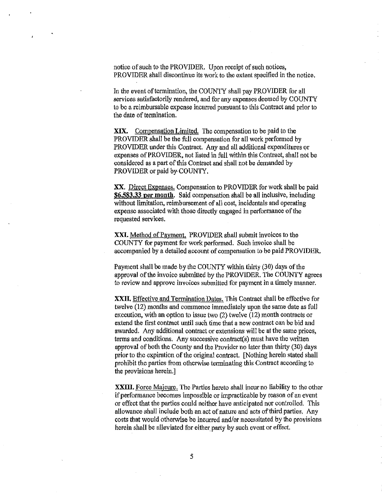notice of such to the PROVIDER. Upon receipt of such notices, PROVIDER shall discontinue its work to the extent specified in the notice.

In the event of termination, the COUNTY shall pay PROVIDER for all services satisfactorily rendered, and for any expenses deemed by COUNTY to be a reimbursable expense incurred pursuant to this Contract and prior to the date of termination.

**XIX.** Compensation Limited. The compensation to be paid to the PROVIDER shall be the full compensation for all work performed by PROVIDER under this Contract. Any and all additional expenditures or expenses of PROVIDER, not listed in full within this Contract, shall not be considered as a part of this Contract and shall not be demanded by PROVIDER or paid by COUNTY.

**XX.** Direct Expenses. Compensation to PROVIDER for work shall be paid ~6.583.33 **per month.** Said compensation shall be all inclusive, including without limitation, reimbursement of all cost, incidentals and operating expense associated with those directly engaged in performance of the requested services.

**XXI.** Method of Peyment. PROVIDER shall submit invoices to the COUNTY for payment for work performed. Such invoice shall be accompanied by a detailed account of compensation to be paid PROVIDER.

Payment shall be made by the COUNTY within thirty (30) days of the approval of the invoice submitted by the PROVIDER. The COUNTY agrees to review and approve invoices submitted for payment in a timely manner.

**XXIL** Effective and Termination Dates. This Contract shall be effective for twelve (12) months and commence immediately upon the same date as full execution, with an option to issue two (2) twelve (12) month contracts or extend the first contract until snch time that a new contract can be bid and awarded. Any additional contract or extensions will be at the same prices, terms and conditions. Any successive contract(s) must have the written approval of both the County and the Provider no later than thirty (30) days prior to the expiration of the original contract. [Nothing herein stated shall prohibit the parties from otherwise terminating this Contmct according to the provisions herein.]

**XXIII.** Force Majeure. The Parties hereto shall incur no liability to the other if performance becomes impossible or impracticable by reason of an event or effect that the parties could neither have anticipated nor controlled. This allowance shall include both an act of nature and acts of third parties. Any costs that would otherwise be incurred and/or necessitated by the provisions herein shall be alleviated for either party by such event or effect.

*5*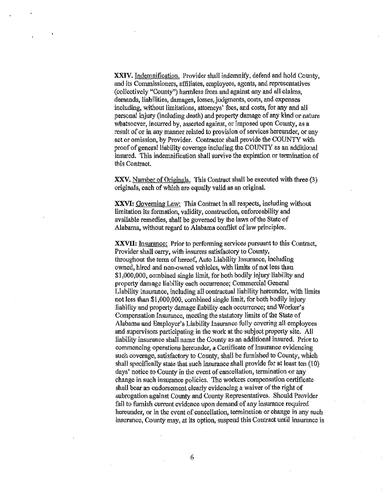**XXIV.** Indemnification. Provider shall indemnify, defend and hold County, and its Commissioners, affiliates, employees, agents, and representatives (collectively "County") harmless from and against any and all claims, demands, liabilities, damages, losses, judgments, costs, and expenses including, without limitations, attorneys' fees, and costs, for any and all personal injury (including death) and property damage of any kind or nature whatsoever, incurred by, asserted against, or imposed upon County, as a result of or in any manner related to provision of services hereunder, or any act or omission, by Provider. Contractor shall provide the COUNTY with proof of genera! liability coverage including the COUNTY as an additional insured. This indemnification shall survive the expiration or termination of this Contract.

XXV. Number of Originals. This Contract shall be executed with three (3) originals, each of which are equally valid as an original.

**XXVI:** Goveming Law: This Contract in all respects, including without limitation its formation, validity, construction, enforceability and available remedies, shall be governed by the laws of the State of Alabama, without regard to Alabama conflict of law principles.

XXVII: *Insurance:* Prior to performing services pursuant to this Contract, Provider shall carry, with insurers satisfactory to County, throughout the term of hereof, Auto Liability Insurance, including owned, hired and non-owned vehicles, with limits of not less than \$1,000,000, combined single limit, for both bodily injury liability and property damage liability each. occurrence; Commercial General Liability Insurance, including all contractual liability hereunder, with limits not less than \$1,000,000, combined single limit, for both bodily injury liability and property damage liability each occurrence; and Worker's Compensation fnsurance, meeting the statutory limits of the State of Alabama and Employer's Liability Insurance fully covering all employees and supervisors participating in the work at the subject property site. All liability insurance shall name the County as an additional insured. Prior to commencing operations hereunder, a Certificate of Insurance evidencing such coverage, satisfactory to County, shall be furnished to County, which shall specifically state that such insurance shall provide for at least ten (10) days' notice to County in the event of cancellation, termination or any change in such insurance policies. The workers compensation certificate shall bear an endorsement clearly evidencing a waiver of the right of subrogation against County and County Representatives. Should Provider fail to furnish current evidence upon demand of any insurance required hereunder, or in the event of cancellation, termination or change in any such insurance, County may, at its option, suspend this Contract until insurance is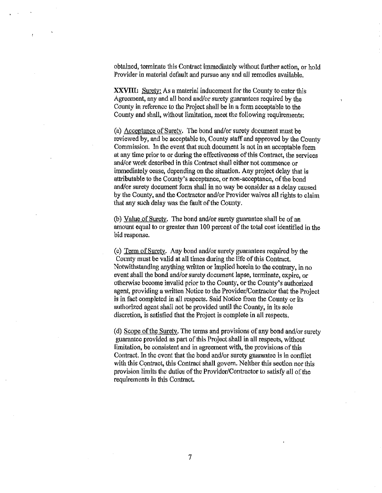obtained, terminate this Contract immediately without further action, or hold Provider in material default and pursue any and all remedies available.

**XXVIII:** Surety: As a material inducement for the County to enter this Agreement, any and all bond and/or surety guarantees required by the County in reference to the Project shall be in a form acceptable to the County and shall, without limitation, meet the following requirements:

(a) Acceptance of Suretv. The bond and/or surety document must be reviewed by, and be acceptable to, County staff and approved by the County Commission. In the event that such document is not in an acceptable form at any time prior to or during the effectiveness of this Contract, the services and/or work described in this Contract shall either not commence or immediately cease, depending on the situation. Any project delay that is attributable to the County's acceptance, or non-acceptance, of the bond and/or surety document form shall in no way be consider as a delay caused by the County, and the Contractor and/or Provider waives all rights to claim that any such delay was the fault of the County.

(b) Value of Surety. The bond and/or surety guarantee shall be of an amount equal to or greater than 100 percent of the total cost identified in the bid response.

(c) Term of Surety. Any bond and/or surety guarantees required by the County must be valid at all times during the life of this Contract. Notwithstanding anything written or implied herein to the contrary, in no event shall the bond and/or surety docwnent lapse, terminate, expire, or otherwise become invalid prior to the County, or the County's authorized agent, providing a written Notice to the Provider/Contractor that the Project is in fact completed in all respects. Said Notice from the County or its authorized agent shall not he provided until the County, in its sole discretion, is satisfied that the Project is complete in all respects.

(d) Scope of the Surety. The terms and provisions of any bond and/or surety guarantee provided as part of this Project shall in all respects, without limitation, be consistent and in agreement with, the provisions of this Contract. In the event that the bond and/or surety guarantee is in conflict with this Contract, this Contract shall govern. Neither this section nor this provision limits the duties of the Provider/Contractor to satisfy all of the requirements in this Contract.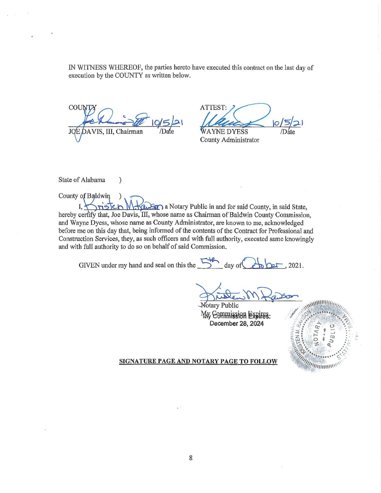IN WITNESS WHEREOF, the parties hereto have executed this contract on the last day of execution by the COUNTY as written below.

COU AVIS, III, Chairman

 $\mathcal{E}$ 

ATTEST: **WAYNE DYESS** 

County Administrator

State of Alabama

County of Baldwin

I. a Notary Public in and for said County, in said State, hereby certify that, Joe Davis, III, whose name as Chairman of Baldwin County Commission, and Wayne Dyess, whose name as County Administrator, are known to me, acknowledged before me on this day that, being informed of the contents of the Contract for Professional and Construction Services, they, as such officers and with full authority, executed same knowingly and with full authority to do so on behalf of said Commission.

GIVEN under my hand and seal on this the 5th day of  $2021.$ 

**Notary Public** My Commission Expires: December 28, 2024



SIGNATURE PAGE AND NOTARY PAGE TO FOLLOW